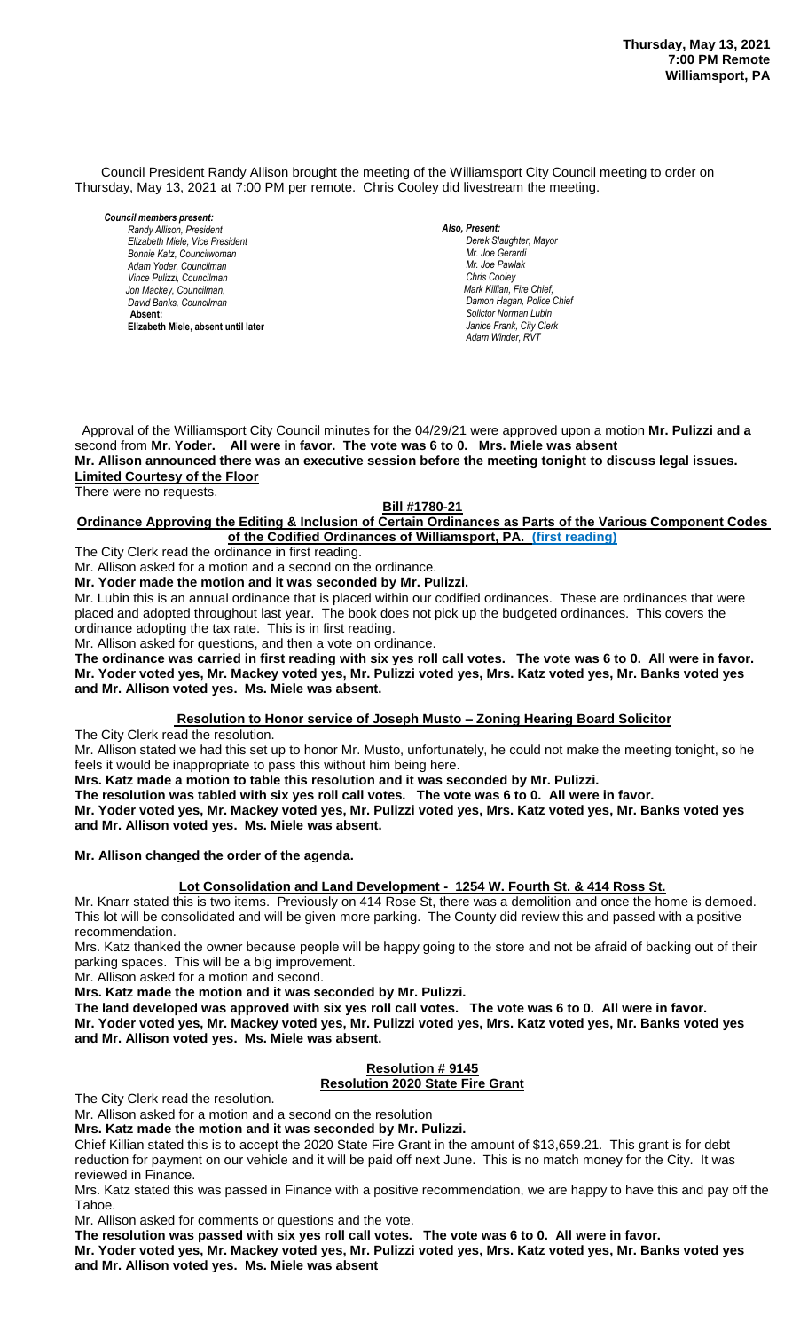Council President Randy Allison brought the meeting of the Williamsport City Council meeting to order on Thursday, May 13, 2021 at 7:00 PM per remote. Chris Cooley did livestream the meeting.

*Council members present: Randy Allison, President , President Elizabeth Miele, Vice President Bill Hall, Councilman Bonnie Katz, Councilwoman Adam Yoder, Councilman Vince Pulizzi, Councilman Jon Mackey, Councilman, David Banks, Councilman*  **Absent: Elizabeth Miele, absent until later**

*Also, Present: Derek Slaughter, Mayor Mr. William Nichols, Jr. Mr. Joe Gerardi Mr. Joseph Pawlak Mr. Joe Pawlak Chris Cooley Mark Killian, Fire Chief,* Damon Hagan, Police Chief *Solictor Norman Lubin Janice Frank, City Clerk Adam Winder, RVT* 

 Approval of the Williamsport City Council minutes for the 04/29/21 were approved upon a motion **Mr. Pulizzi and a** second from **Mr. Yoder. All were in favor. The vote was 6 to 0. Mrs. Miele was absent** *Mr. Joseph Pawlak*  **Mr. Allison announced there was an executive session before the meeting tonight to discuss legal issues.** *.*  **Limited Courtesy of the Floor** There were no requests.

### **Bill #1780-21**

#### **Ordinance Approving the Editing & Inclusion of Certain Ordinances as Parts of the Various Component Codes** of the Codified Ordinances of Williamsport, PA. (first reading) *Janice Frank, City Clerk, absent*

The City Clerk read the ordinance in first reading.

Mr. Allison asked for a motion and a second on the ordinance.

Mr. Yoder made the motion and it was seconded by Mr. Pulizzi.

Mr. Lubin this is an annual ordinance that is placed within our codified ordinances. These are ordinances that were placed and adopted throughout last year. The book does not pick up the budgeted ordinances. This covers the ordinance adopting the tax rate. This is in first reading.

Mr. Allison asked for questions, and then a vote on ordinance.

**The ordinance was carried in first reading with six yes roll call votes. The vote was 6 to 0. All were in favor.** *Members of News Media* **Mr. Yoder voted yes, Mr. Mackey voted yes, Mr. Pulizzi voted yes, Mrs. Katz voted yes, Mr. Banks voted yes and Mr. Allison voted yes. Ms. Miele was absent.** *Members of the news media*

#### **Resolution to Honor service of Joseph Musto – Zoning Hearing Board Solicitor**

The City Clerk read the resolution.

Mr. Allison stated we had this set up to honor Mr. Musto, unfortunately, he could not make the meeting tonight, so he feels it would be inappropriate to pass this without him being here.

**Mrs. Katz made a motion to table this resolution and it was seconded by Mr. Pulizzi.**

**The resolution was tabled with six yes roll call votes. The vote was 6 to 0. All were in favor.**

**Mr. Yoder voted yes, Mr. Mackey voted yes, Mr. Pulizzi voted yes, Mrs. Katz voted yes, Mr. Banks voted yes and Mr. Allison voted yes. Ms. Miele was absent.**

#### **Mr. Allison changed the order of the agenda.**

## **Lot Consolidation and Land Development - 1254 W. Fourth St. & 414 Ross St.**

Mr. Knarr stated this is two items. Previously on 414 Rose St, there was a demolition and once the home is demoed. This lot will be consolidated and will be given more parking. The County did review this and passed with a positive recommendation.

Mrs. Katz thanked the owner because people will be happy going to the store and not be afraid of backing out of their parking spaces. This will be a big improvement.

Mr. Allison asked for a motion and second.

**Mrs. Katz made the motion and it was seconded by Mr. Pulizzi.**

**The land developed was approved with six yes roll call votes. The vote was 6 to 0. All were in favor. Mr. Yoder voted yes, Mr. Mackey voted yes, Mr. Pulizzi voted yes, Mrs. Katz voted yes, Mr. Banks voted yes and Mr. Allison voted yes. Ms. Miele was absent.**

# **Resolution # 9145**

## **Resolution 2020 State Fire Grant**

The City Clerk read the resolution.

Mr. Allison asked for a motion and a second on the resolution

**Mrs. Katz made the motion and it was seconded by Mr. Pulizzi.**

Chief Killian stated this is to accept the 2020 State Fire Grant in the amount of \$13,659.21. This grant is for debt reduction for payment on our vehicle and it will be paid off next June. This is no match money for the City. It was reviewed in Finance.

Mrs. Katz stated this was passed in Finance with a positive recommendation, we are happy to have this and pay off the Tahoe.

Mr. Allison asked for comments or questions and the vote.

**The resolution was passed with six yes roll call votes. The vote was 6 to 0. All were in favor.**

**Mr. Yoder voted yes, Mr. Mackey voted yes, Mr. Pulizzi voted yes, Mrs. Katz voted yes, Mr. Banks voted yes and Mr. Allison voted yes. Ms. Miele was absent**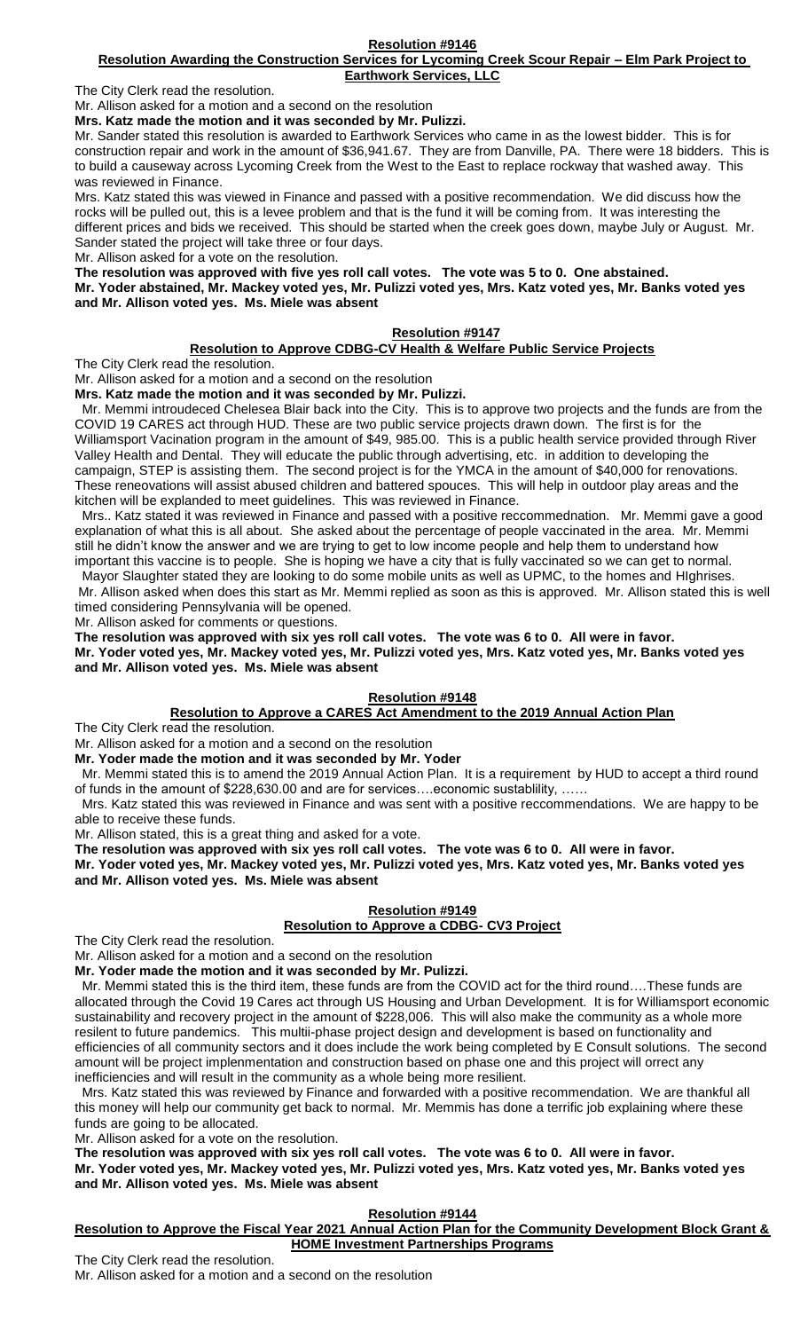#### **Resolution Awarding the Construction Services for Lycoming Creek Scour Repair – Elm Park Project to Earthwork Services, LLC**

The City Clerk read the resolution.

Mr. Allison asked for a motion and a second on the resolution

**Mrs. Katz made the motion and it was seconded by Mr. Pulizzi.**

Mr. Sander stated this resolution is awarded to Earthwork Services who came in as the lowest bidder. This is for construction repair and work in the amount of \$36,941.67. They are from Danville, PA. There were 18 bidders. This is to build a causeway across Lycoming Creek from the West to the East to replace rockway that washed away. This was reviewed in Finance.

Mrs. Katz stated this was viewed in Finance and passed with a positive recommendation. We did discuss how the rocks will be pulled out, this is a levee problem and that is the fund it will be coming from. It was interesting the different prices and bids we received. This should be started when the creek goes down, maybe July or August. Mr. Sander stated the project will take three or four days.

Mr. Allison asked for a vote on the resolution.

**The resolution was approved with five yes roll call votes. The vote was 5 to 0. One abstained.**

**Mr. Yoder abstained, Mr. Mackey voted yes, Mr. Pulizzi voted yes, Mrs. Katz voted yes, Mr. Banks voted yes and Mr. Allison voted yes. Ms. Miele was absent**

## **Resolution #9147**

## **Resolution to Approve CDBG-CV Health & Welfare Public Service Projects**

The City Clerk read the resolution.

Mr. Allison asked for a motion and a second on the resolution **Mrs. Katz made the motion and it was seconded by Mr. Pulizzi.**

 Mr. Memmi introudeced Chelesea Blair back into the City. This is to approve two projects and the funds are from the COVID 19 CARES act through HUD. These are two public service projects drawn down. The first is for the Williamsport Vacination program in the amount of \$49, 985.00. This is a public health service provided through River Valley Health and Dental. They will educate the public through advertising, etc. in addition to developing the campaign, STEP is assisting them. The second project is for the YMCA in the amount of \$40,000 for renovations. These reneovations will assist abused children and battered spouces. This will help in outdoor play areas and the kitchen will be explanded to meet guidelines. This was reviewed in Finance.

 Mrs.. Katz stated it was reviewed in Finance and passed with a positive reccommednation. Mr. Memmi gave a good explanation of what this is all about. She asked about the percentage of people vaccinated in the area. Mr. Memmi still he didn't know the answer and we are trying to get to low income people and help them to understand how important this vaccine is to people. She is hoping we have a city that is fully vaccinated so we can get to normal.

 Mayor Slaughter stated they are looking to do some mobile units as well as UPMC, to the homes and HIghrises. Mr. Allison asked when does this start as Mr. Memmi replied as soon as this is approved. Mr. Allison stated this is well timed considering Pennsylvania will be opened.

Mr. Allison asked for comments or questions.

**The resolution was approved with six yes roll call votes. The vote was 6 to 0. All were in favor. Mr. Yoder voted yes, Mr. Mackey voted yes, Mr. Pulizzi voted yes, Mrs. Katz voted yes, Mr. Banks voted yes and Mr. Allison voted yes. Ms. Miele was absent**

## **Resolution #9148**

## **Resolution to Approve a CARES Act Amendment to the 2019 Annual Action Plan**

The City Clerk read the resolution.

Mr. Allison asked for a motion and a second on the resolution

**Mr. Yoder made the motion and it was seconded by Mr. Yoder**

 Mr. Memmi stated this is to amend the 2019 Annual Action Plan. It is a requirement by HUD to accept a third round of funds in the amount of \$228,630.00 and are for services….economic sustablility, ……

 Mrs. Katz stated this was reviewed in Finance and was sent with a positive reccommendations. We are happy to be able to receive these funds.

Mr. Allison stated, this is a great thing and asked for a vote.

**The resolution was approved with six yes roll call votes. The vote was 6 to 0. All were in favor.**

**Mr. Yoder voted yes, Mr. Mackey voted yes, Mr. Pulizzi voted yes, Mrs. Katz voted yes, Mr. Banks voted yes and Mr. Allison voted yes. Ms. Miele was absent**

### **Resolution #9149 Resolution to Approve a CDBG- CV3 Project**

The City Clerk read the resolution.

Mr. Allison asked for a motion and a second on the resolution

**Mr. Yoder made the motion and it was seconded by Mr. Pulizzi.**

 Mr. Memmi stated this is the third item, these funds are from the COVID act for the third round….These funds are allocated through the Covid 19 Cares act through US Housing and Urban Development. It is for Williamsport economic sustainability and recovery project in the amount of \$228,006. This will also make the community as a whole more resilent to future pandemics. This multii-phase project design and development is based on functionality and efficiencies of all community sectors and it does include the work being completed by E Consult solutions. The second amount will be project implenmentation and construction based on phase one and this project will orrect any inefficiencies and will result in the community as a whole being more resilient.

 Mrs. Katz stated this was reviewed by Finance and forwarded with a positive recommendation. We are thankful all this money will help our community get back to normal. Mr. Memmis has done a terrific job explaining where these funds are going to be allocated.

Mr. Allison asked for a vote on the resolution.

**The resolution was approved with six yes roll call votes. The vote was 6 to 0. All were in favor.**

**Mr. Yoder voted yes, Mr. Mackey voted yes, Mr. Pulizzi voted yes, Mrs. Katz voted yes, Mr. Banks voted yes and Mr. Allison voted yes. Ms. Miele was absent**

## **Resolution #9144**

**Resolution to Approve the Fiscal Year 2021 Annual Action Plan for the Community Development Block Grant & HOME Investment Partnerships Programs**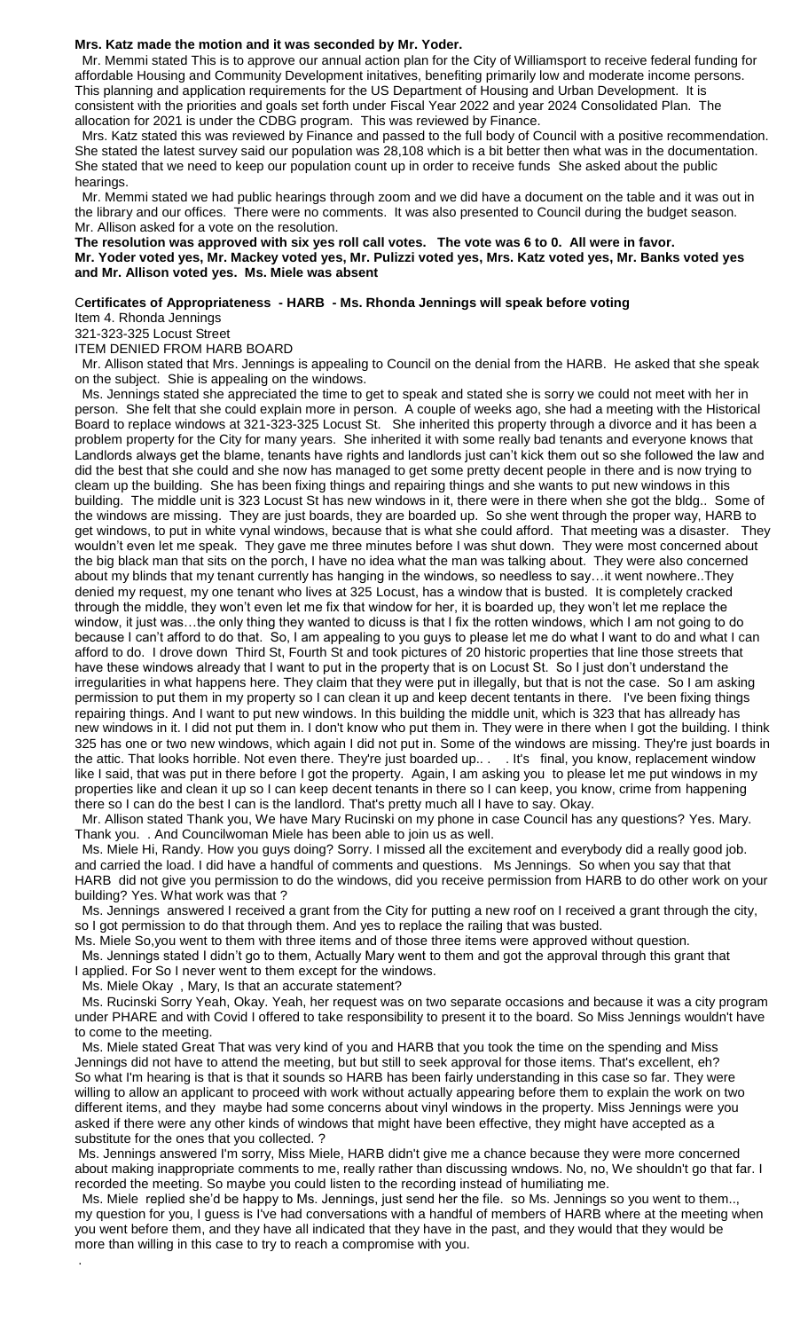#### **Mrs. Katz made the motion and it was seconded by Mr. Yoder.**

 Mr. Memmi stated This is to approve our annual action plan for the City of Williamsport to receive federal funding for affordable Housing and Community Development initatives, benefiting primarily low and moderate income persons. This planning and application requirements for the US Department of Housing and Urban Development. It is consistent with the priorities and goals set forth under Fiscal Year 2022 and year 2024 Consolidated Plan. The allocation for 2021 is under the CDBG program. This was reviewed by Finance.

 Mrs. Katz stated this was reviewed by Finance and passed to the full body of Council with a positive recommendation. She stated the latest survey said our population was 28,108 which is a bit better then what was in the documentation. She stated that we need to keep our population count up in order to receive funds She asked about the public hearings.

 Mr. Memmi stated we had public hearings through zoom and we did have a document on the table and it was out in the library and our offices. There were no comments. It was also presented to Council during the budget season. Mr. Allison asked for a vote on the resolution.

**The resolution was approved with six yes roll call votes. The vote was 6 to 0. All were in favor. Mr. Yoder voted yes, Mr. Mackey voted yes, Mr. Pulizzi voted yes, Mrs. Katz voted yes, Mr. Banks voted yes and Mr. Allison voted yes. Ms. Miele was absent**

## C**ertificates of Appropriateness - HARB - Ms. Rhonda Jennings will speak before voting**

Item 4. Rhonda Jennings

321-323-325 Locust Street

ITEM DENIED FROM HARB BOARD

 Mr. Allison stated that Mrs. Jennings is appealing to Council on the denial from the HARB. He asked that she speak on the subject. Shie is appealing on the windows.

 Ms. Jennings stated she appreciated the time to get to speak and stated she is sorry we could not meet with her in person. She felt that she could explain more in person. A couple of weeks ago, she had a meeting with the Historical Board to replace windows at 321-323-325 Locust St. She inherited this property through a divorce and it has been a problem property for the City for many years. She inherited it with some really bad tenants and everyone knows that Landlords always get the blame, tenants have rights and landlords just can't kick them out so she followed the law and did the best that she could and she now has managed to get some pretty decent people in there and is now trying to cleam up the building. She has been fixing things and repairing things and she wants to put new windows in this building. The middle unit is 323 Locust St has new windows in it, there were in there when she got the bldg.. Some of the windows are missing. They are just boards, they are boarded up. So she went through the proper way, HARB to get windows, to put in white vynal windows, because that is what she could afford. That meeting was a disaster. They wouldn't even let me speak. They gave me three minutes before I was shut down. They were most concerned about the big black man that sits on the porch, I have no idea what the man was talking about. They were also concerned about my blinds that my tenant currently has hanging in the windows, so needless to say…it went nowhere..They denied my request, my one tenant who lives at 325 Locust, has a window that is busted. It is completely cracked through the middle, they won't even let me fix that window for her, it is boarded up, they won't let me replace the window, it just was…the only thing they wanted to dicuss is that I fix the rotten windows, which I am not going to do because I can't afford to do that. So, I am appealing to you guys to please let me do what I want to do and what I can afford to do. I drove down Third St, Fourth St and took pictures of 20 historic properties that line those streets that have these windows already that I want to put in the property that is on Locust St. So I just don't understand the irregularities in what happens here. They claim that they were put in illegally, but that is not the case. So I am asking permission to put them in my property so I can clean it up and keep decent tentants in there. I've been fixing things repairing things. And I want to put new windows. In this building the middle unit, which is 323 that has allready has new windows in it. I did not put them in. I don't know who put them in. They were in there when I got the building. I think 325 has one or two new windows, which again I did not put in. Some of the windows are missing. They're just boards in the attic. That looks horrible. Not even there. They're just boarded up.. . . It's final, you know, replacement window like I said, that was put in there before I got the property. Again, I am asking you to please let me put windows in my properties like and clean it up so I can keep decent tenants in there so I can keep, you know, crime from happening there so I can do the best I can is the landlord. That's pretty much all I have to say. Okay.

 Mr. Allison stated Thank you, We have Mary Rucinski on my phone in case Council has any questions? Yes. Mary. Thank you. . And Councilwoman Miele has been able to join us as well.

 Ms. Miele Hi, Randy. How you guys doing? Sorry. I missed all the excitement and everybody did a really good job. and carried the load. I did have a handful of comments and questions. Ms Jennings. So when you say that that HARB did not give you permission to do the windows, did you receive permission from HARB to do other work on your building? Yes. What work was that ?

 Ms. Jennings answered I received a grant from the City for putting a new roof on I received a grant through the city, so I got permission to do that through them. And yes to replace the railing that was busted.

Ms. Miele So,you went to them with three items and of those three items were approved without question.

 Ms. Jennings stated I didn't go to them, Actually Mary went to them and got the approval through this grant that I applied. For So I never went to them except for the windows.

Ms. Miele Okay , Mary, Is that an accurate statement?

.

 Ms. Rucinski Sorry Yeah, Okay. Yeah, her request was on two separate occasions and because it was a city program under PHARE and with Covid I offered to take responsibility to present it to the board. So Miss Jennings wouldn't have to come to the meeting.

 Ms. Miele stated Great That was very kind of you and HARB that you took the time on the spending and Miss Jennings did not have to attend the meeting, but but still to seek approval for those items. That's excellent, eh? So what I'm hearing is that is that it sounds so HARB has been fairly understanding in this case so far. They were willing to allow an applicant to proceed with work without actually appearing before them to explain the work on two different items, and they maybe had some concerns about vinyl windows in the property. Miss Jennings were you asked if there were any other kinds of windows that might have been effective, they might have accepted as a substitute for the ones that you collected. ?

Ms. Jennings answered I'm sorry, Miss Miele, HARB didn't give me a chance because they were more concerned about making inappropriate comments to me, really rather than discussing wndows. No, no, We shouldn't go that far. I recorded the meeting. So maybe you could listen to the recording instead of humiliating me.

 Ms. Miele replied she'd be happy to Ms. Jennings, just send her the file. so Ms. Jennings so you went to them.., my question for you, I guess is I've had conversations with a handful of members of HARB where at the meeting when you went before them, and they have all indicated that they have in the past, and they would that they would be more than willing in this case to try to reach a compromise with you.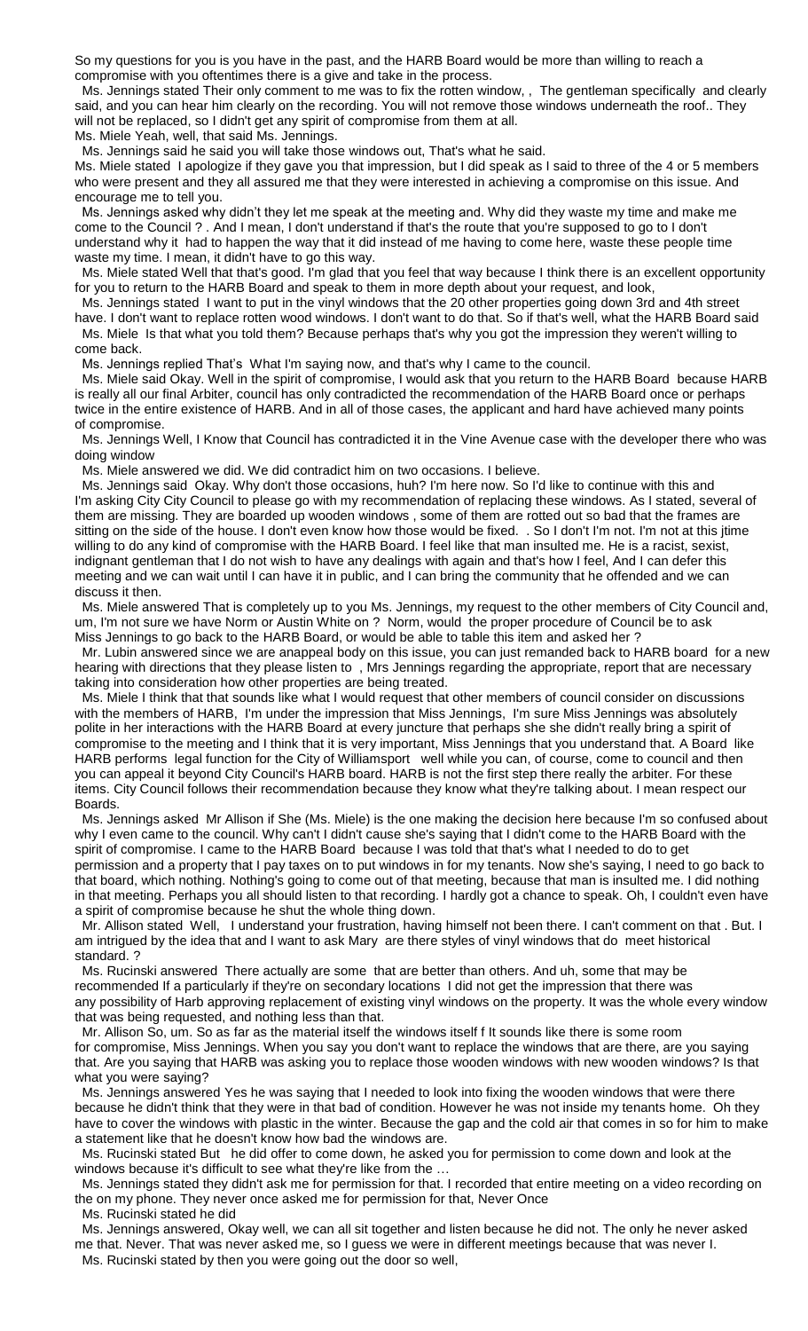So my questions for you is you have in the past, and the HARB Board would be more than willing to reach a compromise with you oftentimes there is a give and take in the process.

 Ms. Jennings stated Their only comment to me was to fix the rotten window, , The gentleman specifically and clearly said, and you can hear him clearly on the recording. You will not remove those windows underneath the roof.. They will not be replaced, so I didn't get any spirit of compromise from them at all. Ms. Miele Yeah, well, that said Ms. Jennings.

Ms. Jennings said he said you will take those windows out, That's what he said.

Ms. Miele stated I apologize if they gave you that impression, but I did speak as I said to three of the 4 or 5 members who were present and they all assured me that they were interested in achieving a compromise on this issue. And encourage me to tell you.

 Ms. Jennings asked why didn't they let me speak at the meeting and. Why did they waste my time and make me come to the Council ? . And I mean, I don't understand if that's the route that you're supposed to go to I don't understand why it had to happen the way that it did instead of me having to come here, waste these people time waste my time. I mean, it didn't have to go this way.

 Ms. Miele stated Well that that's good. I'm glad that you feel that way because I think there is an excellent opportunity for you to return to the HARB Board and speak to them in more depth about your request, and look,

 Ms. Jennings stated I want to put in the vinyl windows that the 20 other properties going down 3rd and 4th street have. I don't want to replace rotten wood windows. I don't want to do that. So if that's well, what the HARB Board said Ms. Miele Is that what you told them? Because perhaps that's why you got the impression they weren't willing to

come back.

Ms. Jennings replied That's What I'm saying now, and that's why I came to the council.

 Ms. Miele said Okay. Well in the spirit of compromise, I would ask that you return to the HARB Board because HARB is really all our final Arbiter, council has only contradicted the recommendation of the HARB Board once or perhaps twice in the entire existence of HARB. And in all of those cases, the applicant and hard have achieved many points of compromise.

 Ms. Jennings Well, I Know that Council has contradicted it in the Vine Avenue case with the developer there who was doing window

Ms. Miele answered we did. We did contradict him on two occasions. I believe.

 Ms. Jennings said Okay. Why don't those occasions, huh? I'm here now. So I'd like to continue with this and I'm asking City City Council to please go with my recommendation of replacing these windows. As I stated, several of them are missing. They are boarded up wooden windows , some of them are rotted out so bad that the frames are sitting on the side of the house. I don't even know how those would be fixed. . So I don't I'm not. I'm not at this jtime willing to do any kind of compromise with the HARB Board. I feel like that man insulted me. He is a racist, sexist, indignant gentleman that I do not wish to have any dealings with again and that's how I feel, And I can defer this meeting and we can wait until I can have it in public, and I can bring the community that he offended and we can discuss it then.

 Ms. Miele answered That is completely up to you Ms. Jennings, my request to the other members of City Council and, um, I'm not sure we have Norm or Austin White on ? Norm, would the proper procedure of Council be to ask Miss Jennings to go back to the HARB Board, or would be able to table this item and asked her ?

 Mr. Lubin answered since we are anappeal body on this issue, you can just remanded back to HARB board for a new hearing with directions that they please listen to , Mrs Jennings regarding the appropriate, report that are necessary taking into consideration how other properties are being treated.

 Ms. Miele I think that that sounds like what I would request that other members of council consider on discussions with the members of HARB, I'm under the impression that Miss Jennings, I'm sure Miss Jennings was absolutely polite in her interactions with the HARB Board at every juncture that perhaps she she didn't really bring a spirit of compromise to the meeting and I think that it is very important, Miss Jennings that you understand that. A Board like HARB performs legal function for the City of Williamsport well while you can, of course, come to council and then you can appeal it beyond City Council's HARB board. HARB is not the first step there really the arbiter. For these items. City Council follows their recommendation because they know what they're talking about. I mean respect our Boards.

 Ms. Jennings asked Mr Allison if She (Ms. Miele) is the one making the decision here because I'm so confused about why I even came to the council. Why can't I didn't cause she's saying that I didn't come to the HARB Board with the spirit of compromise. I came to the HARB Board because I was told that that's what I needed to do to get permission and a property that I pay taxes on to put windows in for my tenants. Now she's saying, I need to go back to that board, which nothing. Nothing's going to come out of that meeting, because that man is insulted me. I did nothing in that meeting. Perhaps you all should listen to that recording. I hardly got a chance to speak. Oh, I couldn't even have a spirit of compromise because he shut the whole thing down.

 Mr. Allison stated Well, I understand your frustration, having himself not been there. I can't comment on that . But. I am intrigued by the idea that and I want to ask Mary are there styles of vinyl windows that do meet historical standard. ?

 Ms. Rucinski answered There actually are some that are better than others. And uh, some that may be recommended If a particularly if they're on secondary locations I did not get the impression that there was any possibility of Harb approving replacement of existing vinyl windows on the property. It was the whole every window that was being requested, and nothing less than that.

 Mr. Allison So, um. So as far as the material itself the windows itself f It sounds like there is some room for compromise, Miss Jennings. When you say you don't want to replace the windows that are there, are you saying that. Are you saying that HARB was asking you to replace those wooden windows with new wooden windows? Is that what you were saying?

 Ms. Jennings answered Yes he was saying that I needed to look into fixing the wooden windows that were there because he didn't think that they were in that bad of condition. However he was not inside my tenants home. Oh they have to cover the windows with plastic in the winter. Because the gap and the cold air that comes in so for him to make a statement like that he doesn't know how bad the windows are.

 Ms. Rucinski stated But he did offer to come down, he asked you for permission to come down and look at the windows because it's difficult to see what they're like from the …

 Ms. Jennings stated they didn't ask me for permission for that. I recorded that entire meeting on a video recording on the on my phone. They never once asked me for permission for that, Never Once

 Ms. Rucinski stated he did Ms. Jennings answered, Okay well, we can all sit together and listen because he did not. The only he never asked me that. Never. That was never asked me, so I guess we were in different meetings because that was never I. Ms. Rucinski stated by then you were going out the door so well,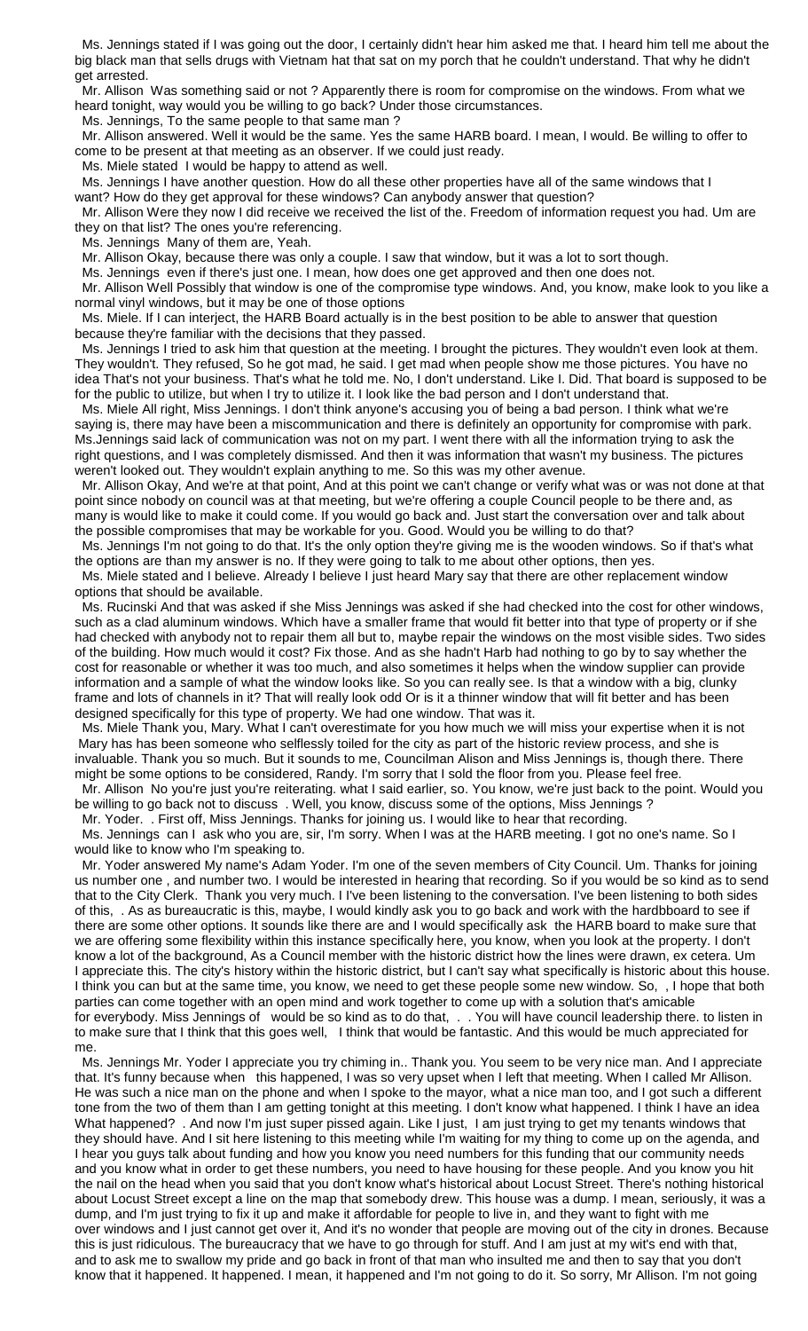Ms. Jennings stated if I was going out the door, I certainly didn't hear him asked me that. I heard him tell me about the big black man that sells drugs with Vietnam hat that sat on my porch that he couldn't understand. That why he didn't get arrested.

 Mr. Allison Was something said or not ? Apparently there is room for compromise on the windows. From what we heard tonight, way would you be willing to go back? Under those circumstances.

Ms. Jennings, To the same people to that same man ?

 Mr. Allison answered. Well it would be the same. Yes the same HARB board. I mean, I would. Be willing to offer to come to be present at that meeting as an observer. If we could just ready.

Ms. Miele stated I would be happy to attend as well.

Ms. Jennings I have another question. How do all these other properties have all of the same windows that I want? How do they get approval for these windows? Can anybody answer that question?

 Mr. Allison Were they now I did receive we received the list of the. Freedom of information request you had. Um are they on that list? The ones you're referencing.

Ms. Jennings Many of them are, Yeah.

Mr. Allison Okay, because there was only a couple. I saw that window, but it was a lot to sort though.

Ms. Jennings even if there's just one. I mean, how does one get approved and then one does not.

 Mr. Allison Well Possibly that window is one of the compromise type windows. And, you know, make look to you like a normal vinyl windows, but it may be one of those options

 Ms. Miele. If I can interject, the HARB Board actually is in the best position to be able to answer that question because they're familiar with the decisions that they passed.

 Ms. Jennings I tried to ask him that question at the meeting. I brought the pictures. They wouldn't even look at them. They wouldn't. They refused, So he got mad, he said. I get mad when people show me those pictures. You have no idea That's not your business. That's what he told me. No, I don't understand. Like I. Did. That board is supposed to be for the public to utilize, but when I try to utilize it. I look like the bad person and I don't understand that.

 Ms. Miele All right, Miss Jennings. I don't think anyone's accusing you of being a bad person. I think what we're saying is, there may have been a miscommunication and there is definitely an opportunity for compromise with park. Ms.Jennings said lack of communication was not on my part. I went there with all the information trying to ask the right questions, and I was completely dismissed. And then it was information that wasn't my business. The pictures weren't looked out. They wouldn't explain anything to me. So this was my other avenue.

 Mr. Allison Okay, And we're at that point, And at this point we can't change or verify what was or was not done at that point since nobody on council was at that meeting, but we're offering a couple Council people to be there and, as many is would like to make it could come. If you would go back and. Just start the conversation over and talk about the possible compromises that may be workable for you. Good. Would you be willing to do that?

 Ms. Jennings I'm not going to do that. It's the only option they're giving me is the wooden windows. So if that's what the options are than my answer is no. If they were going to talk to me about other options, then yes.

 Ms. Miele stated and I believe. Already I believe I just heard Mary say that there are other replacement window options that should be available.

 Ms. Rucinski And that was asked if she Miss Jennings was asked if she had checked into the cost for other windows, such as a clad aluminum windows. Which have a smaller frame that would fit better into that type of property or if she had checked with anybody not to repair them all but to, maybe repair the windows on the most visible sides. Two sides of the building. How much would it cost? Fix those. And as she hadn't Harb had nothing to go by to say whether the cost for reasonable or whether it was too much, and also sometimes it helps when the window supplier can provide information and a sample of what the window looks like. So you can really see. Is that a window with a big, clunky frame and lots of channels in it? That will really look odd Or is it a thinner window that will fit better and has been designed specifically for this type of property. We had one window. That was it.

 Ms. Miele Thank you, Mary. What I can't overestimate for you how much we will miss your expertise when it is not Mary has has been someone who selflessly toiled for the city as part of the historic review process, and she is invaluable. Thank you so much. But it sounds to me, Councilman Alison and Miss Jennings is, though there. There might be some options to be considered, Randy. I'm sorry that I sold the floor from you. Please feel free.

 Mr. Allison No you're just you're reiterating. what I said earlier, so. You know, we're just back to the point. Would you be willing to go back not to discuss . Well, you know, discuss some of the options, Miss Jennings ?

 Mr. Yoder. . First off, Miss Jennings. Thanks for joining us. I would like to hear that recording. Ms. Jennings can I ask who you are, sir, I'm sorry. When I was at the HARB meeting. I got no one's name. So I

would like to know who I'm speaking to.

 Mr. Yoder answered My name's Adam Yoder. I'm one of the seven members of City Council. Um. Thanks for joining us number one , and number two. I would be interested in hearing that recording. So if you would be so kind as to send that to the City Clerk. Thank you very much. I I've been listening to the conversation. I've been listening to both sides of this, . As as bureaucratic is this, maybe, I would kindly ask you to go back and work with the hardbboard to see if there are some other options. It sounds like there are and I would specifically ask the HARB board to make sure that we are offering some flexibility within this instance specifically here, you know, when you look at the property. I don't know a lot of the background, As a Council member with the historic district how the lines were drawn, ex cetera. Um I appreciate this. The city's history within the historic district, but I can't say what specifically is historic about this house. I think you can but at the same time, you know, we need to get these people some new window. So, , I hope that both parties can come together with an open mind and work together to come up with a solution that's amicable for everybody. Miss Jennings of would be so kind as to do that, . . You will have council leadership there. to listen in to make sure that I think that this goes well, I think that would be fantastic. And this would be much appreciated for me.

 Ms. Jennings Mr. Yoder I appreciate you try chiming in.. Thank you. You seem to be very nice man. And I appreciate that. It's funny because when this happened, I was so very upset when I left that meeting. When I called Mr Allison. He was such a nice man on the phone and when I spoke to the mayor, what a nice man too, and I got such a different tone from the two of them than I am getting tonight at this meeting. I don't know what happened. I think I have an idea What happened? . And now I'm just super pissed again. Like I just, I am just trying to get my tenants windows that they should have. And I sit here listening to this meeting while I'm waiting for my thing to come up on the agenda, and I hear you guys talk about funding and how you know you need numbers for this funding that our community needs and you know what in order to get these numbers, you need to have housing for these people. And you know you hit the nail on the head when you said that you don't know what's historical about Locust Street. There's nothing historical about Locust Street except a line on the map that somebody drew. This house was a dump. I mean, seriously, it was a dump, and I'm just trying to fix it up and make it affordable for people to live in, and they want to fight with me over windows and I just cannot get over it, And it's no wonder that people are moving out of the city in drones. Because this is just ridiculous. The bureaucracy that we have to go through for stuff. And I am just at my wit's end with that, and to ask me to swallow my pride and go back in front of that man who insulted me and then to say that you don't know that it happened. It happened. I mean, it happened and I'm not going to do it. So sorry, Mr Allison. I'm not going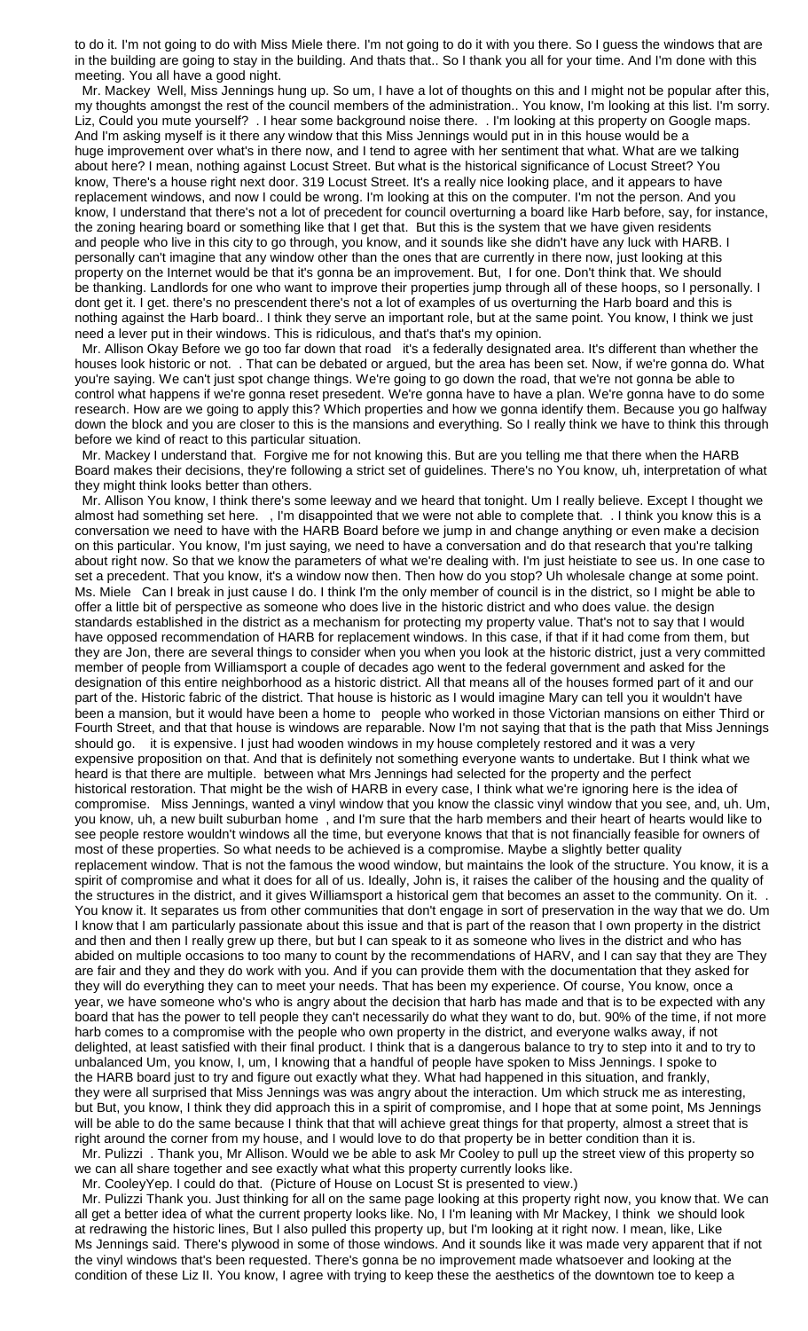to do it. I'm not going to do with Miss Miele there. I'm not going to do it with you there. So I guess the windows that are in the building are going to stay in the building. And thats that.. So I thank you all for your time. And I'm done with this meeting. You all have a good night.

 Mr. Mackey Well, Miss Jennings hung up. So um, I have a lot of thoughts on this and I might not be popular after this, my thoughts amongst the rest of the council members of the administration.. You know, I'm looking at this list. I'm sorry. Liz, Could you mute yourself? . I hear some background noise there. . I'm looking at this property on Google maps. And I'm asking myself is it there any window that this Miss Jennings would put in in this house would be a huge improvement over what's in there now, and I tend to agree with her sentiment that what. What are we talking about here? I mean, nothing against Locust Street. But what is the historical significance of Locust Street? You know, There's a house right next door. 319 Locust Street. It's a really nice looking place, and it appears to have replacement windows, and now I could be wrong. I'm looking at this on the computer. I'm not the person. And you know, I understand that there's not a lot of precedent for council overturning a board like Harb before, say, for instance, the zoning hearing board or something like that I get that. But this is the system that we have given residents and people who live in this city to go through, you know, and it sounds like she didn't have any luck with HARB. I personally can't imagine that any window other than the ones that are currently in there now, just looking at this property on the Internet would be that it's gonna be an improvement. But, I for one. Don't think that. We should be thanking. Landlords for one who want to improve their properties jump through all of these hoops, so I personally. I dont get it. I get. there's no prescendent there's not a lot of examples of us overturning the Harb board and this is nothing against the Harb board.. I think they serve an important role, but at the same point. You know, I think we just need a lever put in their windows. This is ridiculous, and that's that's my opinion.

 Mr. Allison Okay Before we go too far down that road it's a federally designated area. It's different than whether the houses look historic or not. . That can be debated or argued, but the area has been set. Now, if we're gonna do. What you're saying. We can't just spot change things. We're going to go down the road, that we're not gonna be able to control what happens if we're gonna reset presedent. We're gonna have to have a plan. We're gonna have to do some research. How are we going to apply this? Which properties and how we gonna identify them. Because you go halfway down the block and you are closer to this is the mansions and everything. So I really think we have to think this through before we kind of react to this particular situation.

 Mr. Mackey I understand that. Forgive me for not knowing this. But are you telling me that there when the HARB Board makes their decisions, they're following a strict set of guidelines. There's no You know, uh, interpretation of what they might think looks better than others.

 Mr. Allison You know, I think there's some leeway and we heard that tonight. Um I really believe. Except I thought we almost had something set here. , I'm disappointed that we were not able to complete that. . I think you know this is a conversation we need to have with the HARB Board before we jump in and change anything or even make a decision on this particular. You know, I'm just saying, we need to have a conversation and do that research that you're talking about right now. So that we know the parameters of what we're dealing with. I'm just heistiate to see us. In one case to set a precedent. That you know, it's a window now then. Then how do you stop? Uh wholesale change at some point. Ms. Miele Can I break in just cause I do. I think I'm the only member of council is in the district, so I might be able to offer a little bit of perspective as someone who does live in the historic district and who does value. the design standards established in the district as a mechanism for protecting my property value. That's not to say that I would have opposed recommendation of HARB for replacement windows. In this case, if that if it had come from them, but they are Jon, there are several things to consider when you when you look at the historic district, just a very committed member of people from Williamsport a couple of decades ago went to the federal government and asked for the designation of this entire neighborhood as a historic district. All that means all of the houses formed part of it and our part of the. Historic fabric of the district. That house is historic as I would imagine Mary can tell you it wouldn't have been a mansion, but it would have been a home to people who worked in those Victorian mansions on either Third or Fourth Street, and that that house is windows are reparable. Now I'm not saying that that is the path that Miss Jennings should go. it is expensive. I just had wooden windows in my house completely restored and it was a very expensive proposition on that. And that is definitely not something everyone wants to undertake. But I think what we heard is that there are multiple. between what Mrs Jennings had selected for the property and the perfect historical restoration. That might be the wish of HARB in every case, I think what we're ignoring here is the idea of compromise. Miss Jennings, wanted a vinyl window that you know the classic vinyl window that you see, and, uh. Um, you know, uh, a new built suburban home , and I'm sure that the harb members and their heart of hearts would like to see people restore wouldn't windows all the time, but everyone knows that that is not financially feasible for owners of most of these properties. So what needs to be achieved is a compromise. Maybe a slightly better quality replacement window. That is not the famous the wood window, but maintains the look of the structure. You know, it is a spirit of compromise and what it does for all of us. Ideally, John is, it raises the caliber of the housing and the quality of the structures in the district, and it gives Williamsport a historical gem that becomes an asset to the community. On it. . You know it. It separates us from other communities that don't engage in sort of preservation in the way that we do. Um I know that I am particularly passionate about this issue and that is part of the reason that I own property in the district and then and then I really grew up there, but but I can speak to it as someone who lives in the district and who has abided on multiple occasions to too many to count by the recommendations of HARV, and I can say that they are They are fair and they and they do work with you. And if you can provide them with the documentation that they asked for they will do everything they can to meet your needs. That has been my experience. Of course, You know, once a year, we have someone who's who is angry about the decision that harb has made and that is to be expected with any board that has the power to tell people they can't necessarily do what they want to do, but. 90% of the time, if not more harb comes to a compromise with the people who own property in the district, and everyone walks away, if not delighted, at least satisfied with their final product. I think that is a dangerous balance to try to step into it and to try to unbalanced Um, you know, I, um, I knowing that a handful of people have spoken to Miss Jennings. I spoke to the HARB board just to try and figure out exactly what they. What had happened in this situation, and frankly, they were all surprised that Miss Jennings was was angry about the interaction. Um which struck me as interesting, but But, you know, I think they did approach this in a spirit of compromise, and I hope that at some point, Ms Jennings will be able to do the same because I think that that will achieve great things for that property, almost a street that is right around the corner from my house, and I would love to do that property be in better condition than it is. Mr. Pulizzi . Thank you, Mr Allison. Would we be able to ask Mr Cooley to pull up the street view of this property so

we can all share together and see exactly what what this property currently looks like. Mr. CooleyYep. I could do that. (Picture of House on Locust St is presented to view.)

 Mr. Pulizzi Thank you. Just thinking for all on the same page looking at this property right now, you know that. We can all get a better idea of what the current property looks like. No, I I'm leaning with Mr Mackey, I think we should look at redrawing the historic lines, But I also pulled this property up, but I'm looking at it right now. I mean, like, Like Ms Jennings said. There's plywood in some of those windows. And it sounds like it was made very apparent that if not the vinyl windows that's been requested. There's gonna be no improvement made whatsoever and looking at the condition of these Liz II. You know, I agree with trying to keep these the aesthetics of the downtown toe to keep a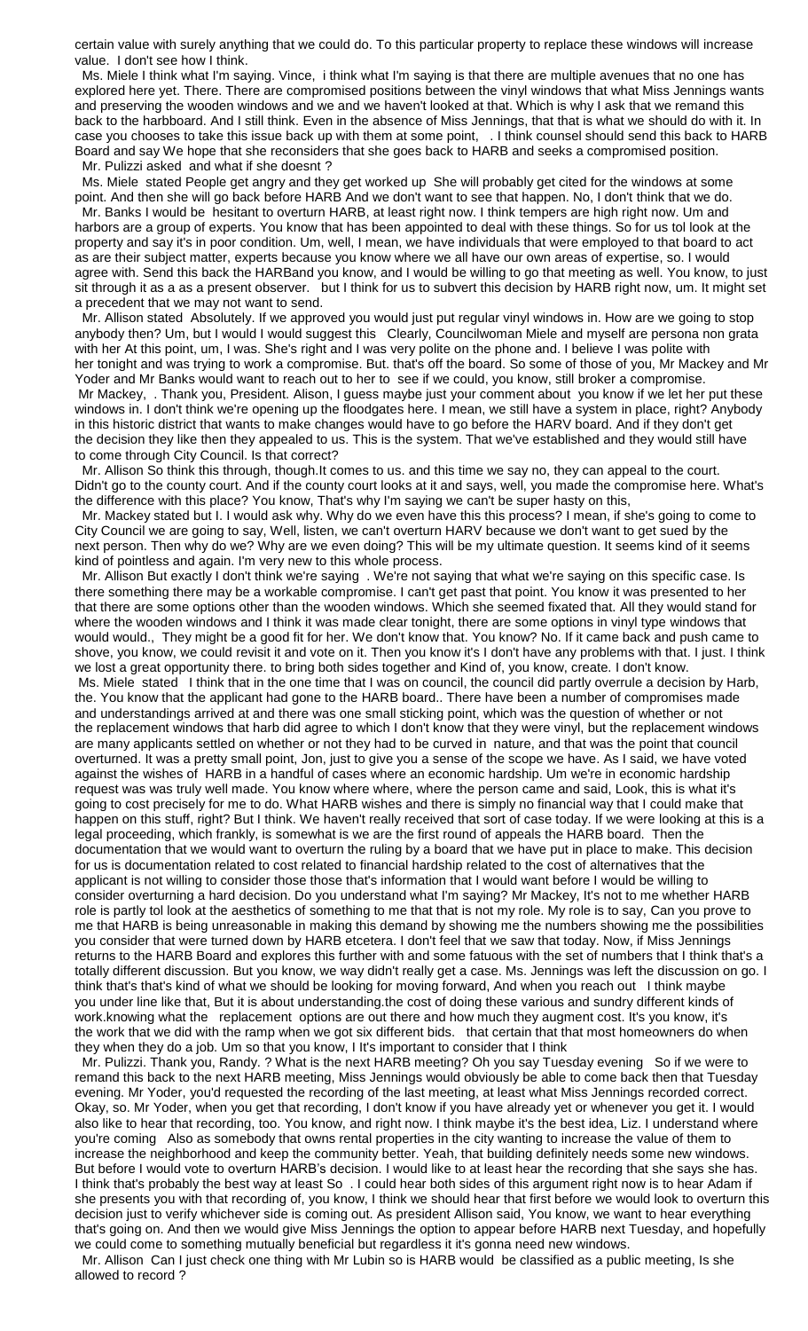certain value with surely anything that we could do. To this particular property to replace these windows will increase value. I don't see how I think.

 Ms. Miele I think what I'm saying. Vince, i think what I'm saying is that there are multiple avenues that no one has explored here yet. There. There are compromised positions between the vinyl windows that what Miss Jennings wants and preserving the wooden windows and we and we haven't looked at that. Which is why I ask that we remand this back to the harbboard. And I still think. Even in the absence of Miss Jennings, that that is what we should do with it. In case you chooses to take this issue back up with them at some point, . I think counsel should send this back to HARB Board and say We hope that she reconsiders that she goes back to HARB and seeks a compromised position.

Mr. Pulizzi asked and what if she doesnt ?

 Ms. Miele stated People get angry and they get worked up She will probably get cited for the windows at some point. And then she will go back before HARB And we don't want to see that happen. No, I don't think that we do.

 Mr. Banks I would be hesitant to overturn HARB, at least right now. I think tempers are high right now. Um and harbors are a group of experts. You know that has been appointed to deal with these things. So for us tol look at the property and say it's in poor condition. Um, well, I mean, we have individuals that were employed to that board to act as are their subject matter, experts because you know where we all have our own areas of expertise, so. I would agree with. Send this back the HARBand you know, and I would be willing to go that meeting as well. You know, to just sit through it as a as a present observer. but I think for us to subvert this decision by HARB right now, um. It might set a precedent that we may not want to send.

 Mr. Allison stated Absolutely. If we approved you would just put regular vinyl windows in. How are we going to stop anybody then? Um, but I would I would suggest this Clearly, Councilwoman Miele and myself are persona non grata with her At this point, um, I was. She's right and I was very polite on the phone and. I believe I was polite with her tonight and was trying to work a compromise. But. that's off the board. So some of those of you, Mr Mackey and Mr Yoder and Mr Banks would want to reach out to her to see if we could, you know, still broker a compromise. Mr Mackey, . Thank you, President. Alison, I guess maybe just your comment about you know if we let her put these windows in. I don't think we're opening up the floodgates here. I mean, we still have a system in place, right? Anybody in this historic district that wants to make changes would have to go before the HARV board. And if they don't get the decision they like then they appealed to us. This is the system. That we've established and they would still have to come through City Council. Is that correct?

 Mr. Allison So think this through, though.It comes to us. and this time we say no, they can appeal to the court. Didn't go to the county court. And if the county court looks at it and says, well, you made the compromise here. What's the difference with this place? You know, That's why I'm saying we can't be super hasty on this,

 Mr. Mackey stated but I. I would ask why. Why do we even have this this process? I mean, if she's going to come to City Council we are going to say, Well, listen, we can't overturn HARV because we don't want to get sued by the next person. Then why do we? Why are we even doing? This will be my ultimate question. It seems kind of it seems kind of pointless and again. I'm very new to this whole process.

 Mr. Allison But exactly I don't think we're saying . We're not saying that what we're saying on this specific case. Is there something there may be a workable compromise. I can't get past that point. You know it was presented to her that there are some options other than the wooden windows. Which she seemed fixated that. All they would stand for where the wooden windows and I think it was made clear tonight, there are some options in vinyl type windows that would would., They might be a good fit for her. We don't know that. You know? No. If it came back and push came to shove, you know, we could revisit it and vote on it. Then you know it's I don't have any problems with that. I just. I think we lost a great opportunity there. to bring both sides together and Kind of, you know, create. I don't know. Ms. Miele stated I think that in the one time that I was on council, the council did partly overrule a decision by Harb, the. You know that the applicant had gone to the HARB board.. There have been a number of compromises made and understandings arrived at and there was one small sticking point, which was the question of whether or not the replacement windows that harb did agree to which I don't know that they were vinyl, but the replacement windows are many applicants settled on whether or not they had to be curved in nature, and that was the point that council overturned. It was a pretty small point, Jon, just to give you a sense of the scope we have. As I said, we have voted against the wishes of HARB in a handful of cases where an economic hardship. Um we're in economic hardship request was was truly well made. You know where where, where the person came and said, Look, this is what it's going to cost precisely for me to do. What HARB wishes and there is simply no financial way that I could make that happen on this stuff, right? But I think. We haven't really received that sort of case today. If we were looking at this is a legal proceeding, which frankly, is somewhat is we are the first round of appeals the HARB board. Then the documentation that we would want to overturn the ruling by a board that we have put in place to make. This decision for us is documentation related to cost related to financial hardship related to the cost of alternatives that the applicant is not willing to consider those those that's information that I would want before I would be willing to consider overturning a hard decision. Do you understand what I'm saying? Mr Mackey, It's not to me whether HARB role is partly tol look at the aesthetics of something to me that that is not my role. My role is to say, Can you prove to me that HARB is being unreasonable in making this demand by showing me the numbers showing me the possibilities you consider that were turned down by HARB etcetera. I don't feel that we saw that today. Now, if Miss Jennings returns to the HARB Board and explores this further with and some fatuous with the set of numbers that I think that's a totally different discussion. But you know, we way didn't really get a case. Ms. Jennings was left the discussion on go. I think that's that's kind of what we should be looking for moving forward, And when you reach out I think maybe you under line like that, But it is about understanding.the cost of doing these various and sundry different kinds of work.knowing what the replacement options are out there and how much they augment cost. It's you know, it's the work that we did with the ramp when we got six different bids. that certain that that most homeowners do when they when they do a job. Um so that you know, I It's important to consider that I think

 Mr. Pulizzi. Thank you, Randy. ? What is the next HARB meeting? Oh you say Tuesday evening So if we were to remand this back to the next HARB meeting, Miss Jennings would obviously be able to come back then that Tuesday evening. Mr Yoder, you'd requested the recording of the last meeting, at least what Miss Jennings recorded correct. Okay, so. Mr Yoder, when you get that recording, I don't know if you have already yet or whenever you get it. I would also like to hear that recording, too. You know, and right now. I think maybe it's the best idea, Liz. I understand where you're coming Also as somebody that owns rental properties in the city wanting to increase the value of them to increase the neighborhood and keep the community better. Yeah, that building definitely needs some new windows. But before I would vote to overturn HARB's decision. I would like to at least hear the recording that she says she has. I think that's probably the best way at least So . I could hear both sides of this argument right now is to hear Adam if she presents you with that recording of, you know, I think we should hear that first before we would look to overturn this decision just to verify whichever side is coming out. As president Allison said, You know, we want to hear everything that's going on. And then we would give Miss Jennings the option to appear before HARB next Tuesday, and hopefully we could come to something mutually beneficial but regardless it it's gonna need new windows.

 Mr. Allison Can I just check one thing with Mr Lubin so is HARB would be classified as a public meeting, Is she allowed to record ?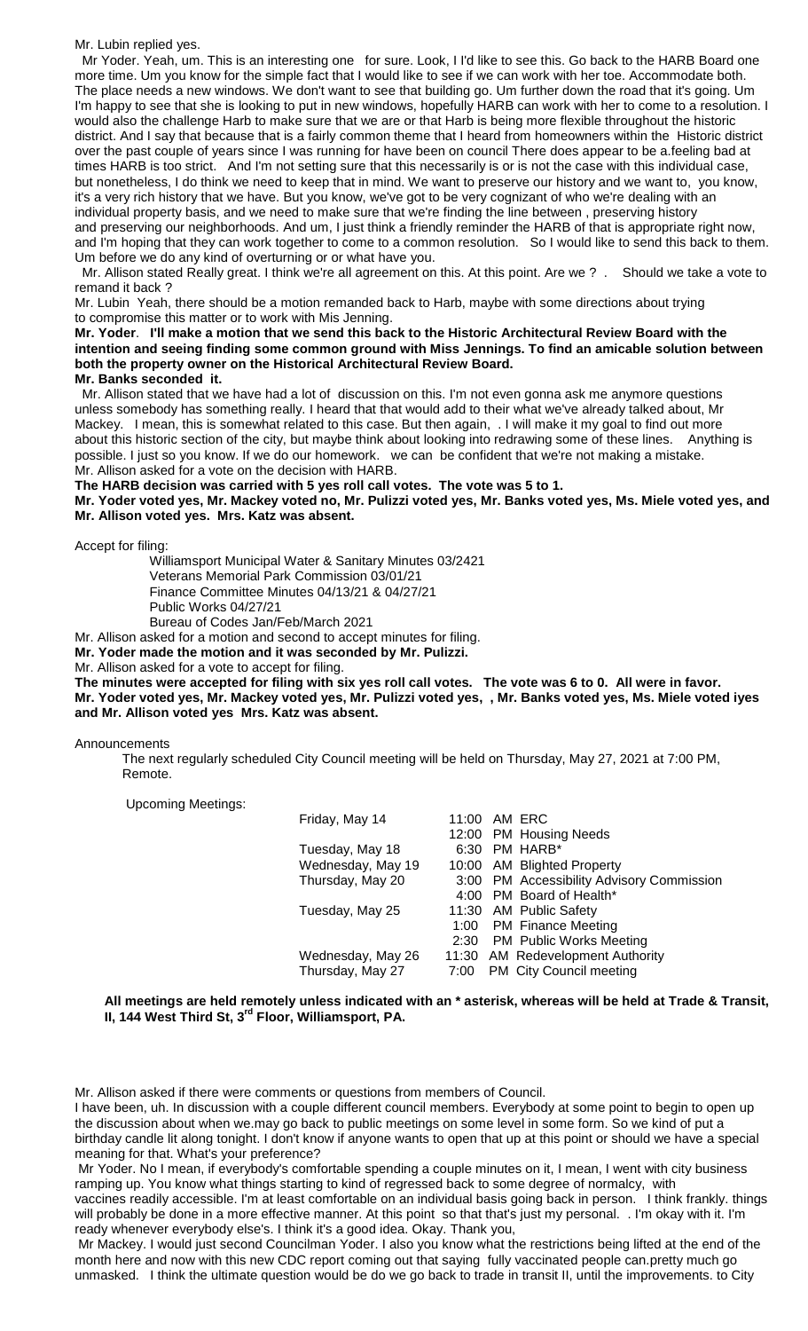#### Mr. Lubin replied yes.

 Mr Yoder. Yeah, um. This is an interesting one for sure. Look, I I'd like to see this. Go back to the HARB Board one more time. Um you know for the simple fact that I would like to see if we can work with her toe. Accommodate both. The place needs a new windows. We don't want to see that building go. Um further down the road that it's going. Um I'm happy to see that she is looking to put in new windows, hopefully HARB can work with her to come to a resolution. I would also the challenge Harb to make sure that we are or that Harb is being more flexible throughout the historic district. And I say that because that is a fairly common theme that I heard from homeowners within the Historic district over the past couple of years since I was running for have been on council There does appear to be a.feeling bad at times HARB is too strict. And I'm not setting sure that this necessarily is or is not the case with this individual case, but nonetheless, I do think we need to keep that in mind. We want to preserve our history and we want to, you know, it's a very rich history that we have. But you know, we've got to be very cognizant of who we're dealing with an individual property basis, and we need to make sure that we're finding the line between , preserving history and preserving our neighborhoods. And um, I just think a friendly reminder the HARB of that is appropriate right now, and I'm hoping that they can work together to come to a common resolution. So I would like to send this back to them. Um before we do any kind of overturning or or what have you.

 Mr. Allison stated Really great. I think we're all agreement on this. At this point. Are we ? . Should we take a vote to remand it back ?

Mr. Lubin Yeah, there should be a motion remanded back to Harb, maybe with some directions about trying to compromise this matter or to work with Mis Jenning.

**Mr. Yoder**. **I'll make a motion that we send this back to the Historic Architectural Review Board with the intention and seeing finding some common ground with Miss Jennings. To find an amicable solution between both the property owner on the Historical Architectural Review Board. Mr. Banks seconded it.**

 Mr. Allison stated that we have had a lot of discussion on this. I'm not even gonna ask me anymore questions unless somebody has something really. I heard that that would add to their what we've already talked about, Mr Mackey. I mean, this is somewhat related to this case. But then again, . I will make it my goal to find out more about this historic section of the city, but maybe think about looking into redrawing some of these lines. Anything is possible. I just so you know. If we do our homework. we can be confident that we're not making a mistake. Mr. Allison asked for a vote on the decision with HARB.

**The HARB decision was carried with 5 yes roll call votes. The vote was 5 to 1.**

**Mr. Yoder voted yes, Mr. Mackey voted no, Mr. Pulizzi voted yes, Mr. Banks voted yes, Ms. Miele voted yes, and Mr. Allison voted yes. Mrs. Katz was absent.**

Accept for filing:

Williamsport Municipal Water & Sanitary Minutes 03/2421 Veterans Memorial Park Commission 03/01/21 Finance Committee Minutes 04/13/21 & 04/27/21 Public Works 04/27/21 Bureau of Codes Jan/Feb/March 2021

Mr. Allison asked for a motion and second to accept minutes for filing.

**Mr. Yoder made the motion and it was seconded by Mr. Pulizzi.**

Mr. Allison asked for a vote to accept for filing.

**The minutes were accepted for filing with six yes roll call votes. The vote was 6 to 0. All were in favor. Mr. Yoder voted yes, Mr. Mackey voted yes, Mr. Pulizzi voted yes, , Mr. Banks voted yes, Ms. Miele voted iyes and Mr. Allison voted yes Mrs. Katz was absent.**

#### Announcements

The next regularly scheduled City Council meeting will be held on Thursday, May 27, 2021 at 7:00 PM, Remote.

Upcoming Meetings:

| Friday, May 14    |      | 11:00 AM ERC                              |
|-------------------|------|-------------------------------------------|
|                   |      | 12:00 PM Housing Needs                    |
| Tuesday, May 18   |      | $6:30$ PM HARB*                           |
| Wednesday, May 19 |      | 10:00 AM Blighted Property                |
| Thursday, May 20  |      | 3:00 PM Accessibility Advisory Commission |
|                   |      | 4:00 PM Board of Health*                  |
| Tuesday, May 25   |      | 11:30 AM Public Safety                    |
|                   |      | 1:00 PM Finance Meeting                   |
|                   |      | 2:30 PM Public Works Meeting              |
| Wednesday, May 26 |      | 11:30 AM Redevelopment Authority          |
| Thursday, May 27  | 7:00 | PM City Council meeting                   |
|                   |      |                                           |

**All meetings are held remotely unless indicated with an \* asterisk, whereas will be held at Trade & Transit, II, 144 West Third St, 3rd Floor, Williamsport, PA.**

Mr. Allison asked if there were comments or questions from members of Council.

I have been, uh. In discussion with a couple different council members. Everybody at some point to begin to open up the discussion about when we.may go back to public meetings on some level in some form. So we kind of put a birthday candle lit along tonight. I don't know if anyone wants to open that up at this point or should we have a special meaning for that. What's your preference?

Mr Yoder. No I mean, if everybody's comfortable spending a couple minutes on it, I mean, I went with city business ramping up. You know what things starting to kind of regressed back to some degree of normalcy, with vaccines readily accessible. I'm at least comfortable on an individual basis going back in person. I think frankly. things

will probably be done in a more effective manner. At this point so that that's just my personal. . I'm okay with it. I'm ready whenever everybody else's. I think it's a good idea. Okay. Thank you,

Mr Mackey. I would just second Councilman Yoder. I also you know what the restrictions being lifted at the end of the month here and now with this new CDC report coming out that saying fully vaccinated people can.pretty much go unmasked. I think the ultimate question would be do we go back to trade in transit II, until the improvements. to City